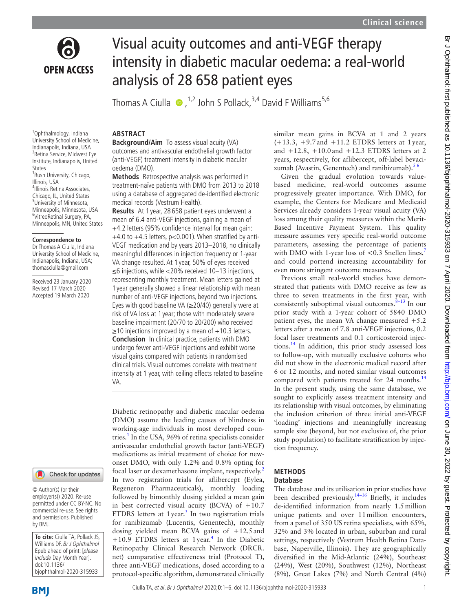

# Visual acuity outcomes and anti-VEGF therapy intensity in diabetic macular oedema: a real-world analysis of 28 658 patient eyes

Thomas A Ciulla  $\bullet$ , <sup>1,2</sup> John S Pollack, <sup>3,4</sup> David F Williams<sup>5,6</sup>

#### **Abstract**

University School of Medicine, Indianapolis, Indiana, USA 2 Retina Service, Midwest Eye Institute, Indianapolis, United States <sup>3</sup>Rush University, Chicago, Illinois, USA 4 Illinois Retina Associates, Chicago, IL, United States 5 University of Minnesota, Minneapolis, Minnesota, USA 6 VitreoRetinal Surgery, PA, Minneapolis, MN, United States

1 Ophthalmology, Indiana

#### **Correspondence to**

Dr Thomas A Ciulla, Indiana University School of Medicine, Indianapolis, Indiana, USA; thomasciulla@gmail.com

Received 23 January 2020 Revised 17 March 2020 Accepted 19 March 2020

# Check for updates

© Author(s) (or their employer(s)) 2020. Re-use permitted under CC BY-NC. No commercial re-use. See rights and permissions. Published by BMJ.

**To cite:** Ciulla TA, Pollack JS, Williams DF. Br J Ophthalmol Epub ahead of print: [please include Day Month Year]. doi:10.1136/ bjophthalmol-2020-315933

**Background/Aim** To assess visual acuity (VA) outcomes and antivascular endothelial growth factor (anti-VEGF) treatment intensity in diabetic macular oedema (DMO).

**Methods** Retrospective analysis was performed in treatment-naïve patients with DMO from 2013 to 2018 using a database of aggregated de-identified electronic medical records (Vestrum Health).

**Results** At 1 year, 28 658 patient eyes underwent a mean of 6.4 anti-VEGF injections, gaining a mean of +4.2 letters (95% confidence interval for mean gain:  $+4.0$  to  $+4.5$  letters, p<0.001). When stratified by anti-VEGF medication and by years 2013–2018, no clinically meaningful differences in injection frequency or 1-year VA change resulted. At 1 year, 50% of eyes received ≤6 injections, while <20% received 10–13 injections, representing monthly treatment. Mean letters gained at 1 year generally showed a linear relationship with mean number of anti-VEGF injections, beyond two injections. Eyes with good baseline VA (≥20/40) generally were at risk of VA loss at 1 year; those with moderately severe baseline impairment (20/70 to 20/200) who received  $\geq$ 10 injections improved by a mean of +10.3 letters. **Conclusion** In clinical practice, patients with DMO undergo fewer anti-VEGF injections and exhibit worse visual gains compared with patients in randomised clinical trials. Visual outcomes correlate with treatment intensity at 1 year, with ceiling effects related to baseline VA.

Diabetic retinopathy and diabetic macular oedema (DMO) assume the leading causes of blindness in working-age individuals in most developed coun-tries.<sup>[1](#page-5-0)</sup> In the USA, 96% of retina specialists consider antivascular endothelial growth factor (anti-VEGF) medications as initial treatment of choice for newonset DMO, with only 1.2% and 0.8% opting for focal laser or dexamethasone implant, respectively.<sup>[2](#page-5-1)</sup> In two registration trials for aflibercept (Eylea, Regeneron Pharmaceuticals), monthly loading followed by bimonthly dosing yielded a mean gain in best corrected visual acuity (BCVA) of  $+10.7$ ETDRS letters at 1 year.<sup>[3](#page-5-2)</sup> In two registration trials for ranibizumab (Lucentis, Genentech), monthly dosing yielded mean BCVA gains of +12.5and +10.9 ETDRS letters at 1 year.<sup>[4](#page-5-3)</sup> In the Diabetic Retinopathy Clinical Research Network (DRCR. net) comparative effectiveness trial (Protocol T), three anti-VEGF medications, dosed according to a protocol-specific algorithm, demonstrated clinically

similar mean gains in BCVA at 1 and 2 years  $(+13.3, +9.7)$  and  $+11.2$  ETDRS letters at 1 year, and +12.8, +10.0and +12.3 ETDRS letters at 2 years, respectively, for aflibercept, off-label bevacizumab (Avastin, Genentech) and ranibizumab). $56$ 

Given the gradual evolution towards valuebased medicine, real-world outcomes assume progressively greater importance. With DMO, for example, the Centers for Medicare and Medicaid Services already considers 1-year visual acuity (VA) loss among their quality measures within the Merit-Based Incentive Payment System. This quality measure assumes very specific real-world outcome parameters, assessing the percentage of patients with DMO with 1-year loss of  $< 0.3$  Snellen lines,<sup>[7](#page-5-5)</sup> and could portend increasing accountability for even more stringent outcome measures.

Previous small real-world studies have demonstrated that patients with DMO receive as few as three to seven treatments in the first year, with consistently suboptimal visual outcomes. $8-13$  In our prior study with a 1-year cohort of 5840 DMO patient eyes, the mean VA change measured  $+5.2$ letters after a mean of 7.8 anti-VEGF injections, 0.2 focal laser treatments and 0.1 corticosteroid injections[.14](#page-5-7) In addition, this prior study assessed loss to follow-up, with mutually exclusive cohorts who did not show in the electronic medical record after 6 or 12 months, and noted similar visual outcomes compared with patients treated for 24 months.<sup>[14](#page-5-7)</sup> In the present study, using the same database, we sought to explicitly assess treatment intensity and its relationship with visual outcomes, by eliminating the inclusion criterion of three initial anti-VEGF 'loading' injections and meaningfully increasing sample size (beyond, but not exclusive of, the prior study population) to facilitate stratification by injection frequency.

#### **Methods Database**

#### The database and its utilisation in prior studies have been described previously.<sup>14-16</sup> Briefly, it includes de-identified information from nearly 1.5million unique patients and over 11million encounters, from a panel of 350 US retina specialists, with 65%, 32% and 3% located in urban, suburban and rural settings, respectively (Vestrum Health Retina Database, Naperville, Illinois). They are geographically diversified in the Mid-Atlantic (24%), Southeast (24%), West (20%), Southwest (12%), Northeast (8%), Great Lakes (7%) and North Central (4%)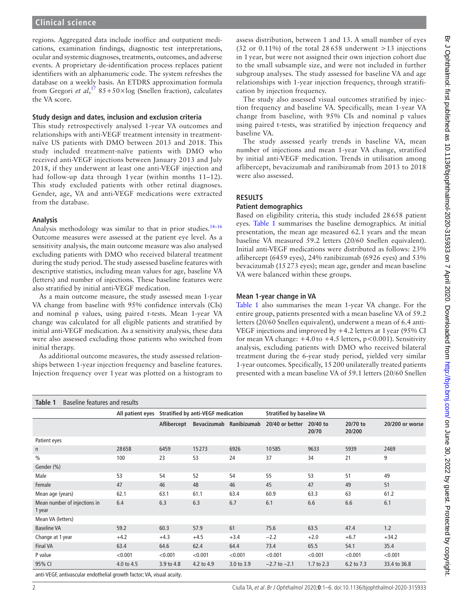# **Clinical science**

regions. Aggregated data include inoffice and outpatient medications, examination findings, diagnostic test interpretations, ocular and systemic diagnoses, treatments, outcomes, and adverse events. A proprietary de-identification process replaces patient identifiers with an alphanumeric code. The system refreshes the database on a weekly basis. An ETDRS approximation formula from Gregori *et al*, [17](#page-5-8) 85+50×log (Snellen fraction), calculates the VA score.

#### **Study design and dates, inclusion and exclusion criteria**

This study retrospectively analysed 1-year VA outcomes and relationships with anti-VEGF treatment intensity in treatmentnaïve US patients with DMO between 2013 and 2018. This study included treatment-naïve patients with DMO who received anti-VEGF injections between January 2013 and July 2018, if they underwent at least one anti-VEGF injection and had follow-up data through 1 year (within months 11-12). This study excluded patients with other retinal diagnoses. Gender, age, VA and anti-VEGF medications were extracted from the database.

#### **Analysis**

Analysis methodology was similar to that in prior studies.<sup>14-16</sup> Outcome measures were assessed at the patient eye level. As a sensitivity analysis, the main outcome measure was also analysed excluding patients with DMO who received bilateral treatment during the study period. The study assessed baseline features with descriptive statistics, including mean values for age, baseline VA (letters) and number of injections. These baseline features were also stratified by initial anti-VEGF medication.

As a main outcome measure, the study assessed mean 1-year VA change from baseline with 95% confidence intervals (CIs) and nominal p values, using paired t-tests. Mean 1-year VA change was calculated for all eligible patients and stratified by initial anti-VEGF medication. As a sensitivity analysis, these data were also assessed excluding those patients who switched from initial therapy.

As additional outcome measures, the study assessed relationships between 1-year injection frequency and baseline features. Injection frequency over 1 year was plotted on a histogram to

assess distribution, between 1 and 13. A small number of eyes (32 or 0.11%) of the total 28 658 underwent  $>13$  injections in 1 year, but were not assigned their own injection cohort due to the small subsample size, and were not included in further subgroup analyses. The study assessed for baseline VA and age relationships with 1-year injection frequency, through stratification by injection frequency.

The study also assessed visual outcomes stratified by injection frequency and baseline VA. Specifically, mean 1-year VA change from baseline, with 95% CIs and nominal p values using paired t-tests, was stratified by injection frequency and baseline VA.

The study assessed yearly trends in baseline VA, mean number of injections and mean 1-year VA change, stratified by initial anti-VEGF medication. Trends in utilisation among aflibercept, bevacizumab and ranibizumab from 2013 to 2018 were also assessed.

# **Results**

#### **Patient demographics**

Based on eligibility criteria, this study included 28658 patient eyes. [Table](#page-1-0) 1 summarises the baseline demographics. At initial presentation, the mean age measured 62.1 years and the mean baseline VA measured 59.2 letters (20/60 Snellen equivalent). Initial anti-VEGF medications were distributed as follows: 23% aflibercept (6459 eyes), 24% ranibizumab (6926 eyes) and 53% bevacizumab (15273 eyes); mean age, gender and mean baseline VA were balanced within these groups.

#### **Mean 1-year change in VA**

[Table](#page-1-0) 1 also summarises the mean 1-year VA change. For the entire group, patients presented with a mean baseline VA of 59.2 letters (20/60 Snellen equivalent), underwent a mean of 6.4 anti-VEGF injections and improved by +4.2 letters at 1year (95% CI for mean VA change: +4.0to +4.5 letters, p<0.001). Sensitivity analysis, excluding patients with DMO who received bilateral treatment during the 6-year study period, yielded very similar 1-year outcomes. Specifically, 15200 unilaterally treated patients presented with a mean baseline VA of 59.1 letters (20/60 Snellen

<span id="page-1-0"></span>

| Baseline features and results<br>Table 1                              |                                                     |             |            |                         |                                  |                   |                    |                 |  |  |
|-----------------------------------------------------------------------|-----------------------------------------------------|-------------|------------|-------------------------|----------------------------------|-------------------|--------------------|-----------------|--|--|
|                                                                       | All patient eyes Stratified by anti-VEGF medication |             |            |                         | <b>Stratified by baseline VA</b> |                   |                    |                 |  |  |
|                                                                       |                                                     | Aflibercept |            | Bevacizumab Ranibizumab | 20/40 or better                  | 20/40 to<br>20/70 | 20/70 to<br>20/200 | 20/200 or worse |  |  |
| Patient eyes                                                          |                                                     |             |            |                         |                                  |                   |                    |                 |  |  |
| n                                                                     | 28658                                               | 6459        | 15273      | 6926                    | 10585                            | 9633              | 5939               | 2469            |  |  |
| $\frac{0}{0}$                                                         | 100                                                 | 23          | 53         | 24                      | 37                               | 34                | 21                 | 9               |  |  |
| Gender (%)                                                            |                                                     |             |            |                         |                                  |                   |                    |                 |  |  |
| Male                                                                  | 53                                                  | 54          | 52         | 54                      | 55                               | 53                | 51                 | 49              |  |  |
| Female                                                                | 47                                                  | 46          | 48         | 46                      | 45                               | 47                | 49                 | 51              |  |  |
| Mean age (years)                                                      | 62.1                                                | 63.1        | 61.1       | 63.4                    | 60.9                             | 63.3              | 63                 | 61.2            |  |  |
| Mean number of injections in<br>1 year                                | 6.4                                                 | 6.3         | 6.3        | 6.7                     | 6.1                              | 6.6               | 6.6                | 6.1             |  |  |
| Mean VA (letters)                                                     |                                                     |             |            |                         |                                  |                   |                    |                 |  |  |
| <b>Baseline VA</b>                                                    | 59.2                                                | 60.3        | 57.9       | 61                      | 75.6                             | 63.5              | 47.4               | 1.2             |  |  |
| Change at 1 year                                                      | $+4.2$                                              | $+4.3$      | $+4.5$     | $+3.4$                  | $-2.2$                           | $+2.0$            | $+6.7$             | $+34.2$         |  |  |
| <b>Final VA</b>                                                       | 63.4                                                | 64.6        | 62.4       | 64.4                    | 73.4                             | 65.5              | 54.1               | 35.4            |  |  |
| P value                                                               | < 0.001                                             | < 0.001     | < 0.001    | < 0.001                 | < 0.001                          | < 0.001           | < 0.001            | < 0.001         |  |  |
| 95% CI                                                                | 4.0 to 4.5                                          | 3.9 to 4.8  | 4.2 to 4.9 | 3.0 to 3.9              | $-2.7$ to $-2.1$                 | 1.7 to 2.3        | 6.2 to 7.3         | 33.4 to 36.8    |  |  |
| anti-VEGF, antivascular endothelial growth factor; VA, visual acuity. |                                                     |             |            |                         |                                  |                   |                    |                 |  |  |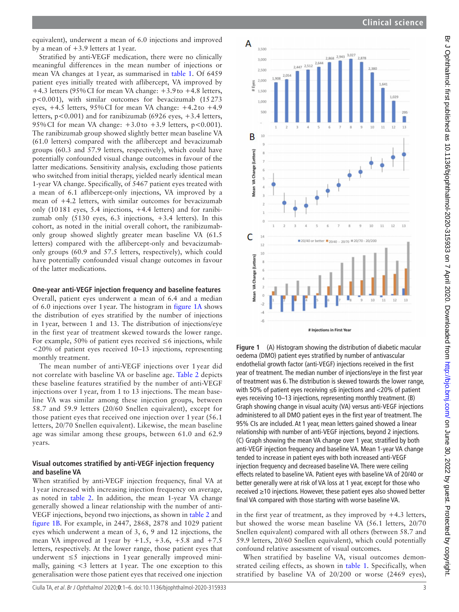equivalent), underwent a mean of 6.0 injections and improved by a mean of +3.9 letters at 1year.

Stratified by anti-VEGF medication, there were no clinically meaningful differences in the mean number of injections or mean VA changes at 1year, as summarised in [table](#page-1-0) 1. Of 6459 patient eyes initially treated with aflibercept, VA improved by +4.3 letters (95%CI for mean VA change: +3.9to +4.8 letters, p<0.001), with similar outcomes for bevacizumab (15273 eyes,  $+4.5$  letters,  $95\%$  CI for mean VA change:  $+4.2$  to  $+4.9$ letters,  $p < 0.001$ ) and for ranibizumab (6926 eyes,  $+3.4$  letters, 95% CI for mean VA change:  $+3.0$  to  $+3.9$  letters,  $p < 0.001$ ). The ranibizumab group showed slightly better mean baseline VA (61.0 letters) compared with the aflibercept and bevacizumab groups (60.3 and 57.9 letters, respectively), which could have potentially confounded visual change outcomes in favour of the latter medications. Sensitivity analysis, excluding those patients who switched from initial therapy, yielded nearly identical mean 1-year VA change. Specifically, of 5467 patient eyes treated with a mean of 6.1 aflibercept-only injections, VA improved by a mean of +4.2 letters, with similar outcomes for bevacizumab only (10181 eyes, 5.4 injections, +4.4 letters) and for ranibizumab only (5130 eyes, 6.3 injections, +3.4 letters). In this cohort, as noted in the initial overall cohort, the ranibizumabonly group showed slightly greater mean baseline VA (61.5 letters) compared with the aflibercept-only and bevacizumabonly groups (60.9 and 57.5 letters, respectively), which could have potentially confounded visual change outcomes in favour of the latter medications.

### **One-year anti-VEGF injection frequency and baseline features**

Overall, patient eyes underwent a mean of 6.4 and a median of 6.0 injections over 1year. The histogram in [figure](#page-2-0) 1A shows the distribution of eyes stratified by the number of injections in 1year, between 1 and 13. The distribution of injections/eye in the first year of treatment skewed towards the lower range. For example, 50% of patient eyes received  $\leq 6$  injections, while <20% of patient eyes received 10–13 injections, representing monthly treatment.

The mean number of anti-VEGF injections over 1 year did not correlate with baseline VA or baseline age. [Table](#page-3-0) 2 depicts these baseline features stratified by the number of anti-VEGF injections over 1 year, from 1 to 13 injections. The mean baseline VA was similar among these injection groups, between 58.7 and 59.9 letters (20/60 Snellen equivalent), except for those patient eyes that received one injection over 1 year (56.1 letters, 20/70 Snellen equivalent). Likewise, the mean baseline age was similar among these groups, between 61.0 and 62.9 years.

# **Visual outcomes stratified by anti-VEGF injection frequency and baseline VA**

When stratified by anti-VEGF injection frequency, final VA at 1year increased with increasing injection frequency on average, as noted in [table](#page-3-0) 2. In addition, the mean 1-year VA change generally showed a linear relationship with the number of anti-VEGF injections, beyond two injections, as shown in [table](#page-3-0) 2 and [figure](#page-2-0) 1B. For example, in 2447, 2868, 2878 and 1029 patient eyes which underwent a mean of 3, 6, 9 and 12 injections, the mean VA improved at 1year by  $+1.5$ ,  $+3.6$ ,  $+5.8$  and  $+7.5$ letters, respectively. At the lower range, those patient eyes that underwent  $\leq$ 5 injections in 1 year generally improved minimally, gaining <3 letters at 1year. The one exception to this generalisation were those patient eyes that received one injection



<span id="page-2-0"></span>**Figure 1** (A) Histogram showing the distribution of diabetic macular oedema (DMO) patient eyes stratified by number of antivascular endothelial growth factor (anti-VEGF) injections received in the first year of treatment. The median number of injections/eye in the first year of treatment was 6. The distribution is skewed towards the lower range, with 50% of patient eyes receiving ≤6 injections and <20% of patient eyes receiving 10–13 injections, representing monthly treatment. (B) Graph showing change in visual acuity (VA) versus anti-VEGF injections administered to all DMO patient eyes in the first year of treatment. The 95% CIs are included. At 1 year, mean letters gained showed a linear relationship with number of anti-VEGF injections, beyond 2 injections. (C) Graph showing the mean VA change over 1 year, stratified by both anti-VEGF injection frequency and baseline VA. Mean 1-year VA change tended to increase in patient eyes with both increased anti-VEGF injection frequency and decreased baseline VA. There were ceiling effects related to baseline VA. Patient eyes with baseline VA of 20/40 or better generally were at risk of VA loss at 1 year, except for those who received ≥10 injections. However, these patient eyes also showed better final VA compared with those starting with worse baseline VA.

in the first year of treatment, as they improved by  $+4.3$  letters, but showed the worse mean baseline VA (56.1 letters, 20/70 Snellen equivalent) compared with all others (between 58.7 and 59.9 letters, 20/60 Snellen equivalent), which could potentially confound relative assessment of visual outcomes.

When stratified by baseline VA, visual outcomes demonstrated ceiling effects, as shown in [table](#page-1-0) 1. Specifically, when stratified by baseline VA of 20/200 or worse (2469 eyes),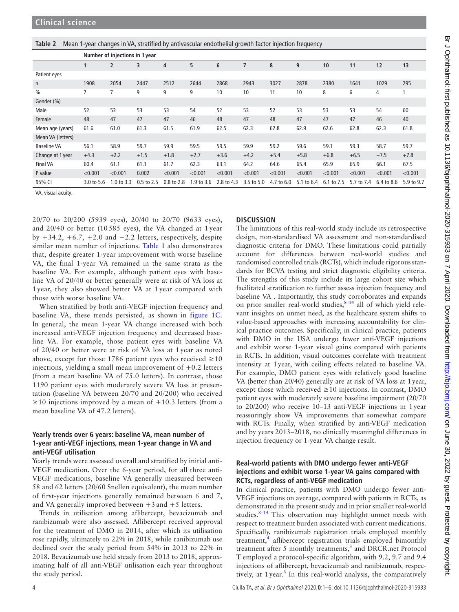<span id="page-3-0"></span>**Table 2** Mean 1-year changes in VA, stratified by antivascular endothelial growth factor injection frequency

|                    | Number of injections in 1 year |                       |            |            |            |                |            |            |            |            |            |            |            |
|--------------------|--------------------------------|-----------------------|------------|------------|------------|----------------|------------|------------|------------|------------|------------|------------|------------|
|                    | $\mathbf{1}$                   | $\overline{2}$        | 3          | 4          | 5          | $6\phantom{1}$ | 7          | 8          | 9          | 10         | 11         | 12         | 13         |
| Patient eyes       |                                |                       |            |            |            |                |            |            |            |            |            |            |            |
| $\mathsf{n}$       | 1908                           | 2054                  | 2447       | 2512       | 2644       | 2868           | 2943       | 3027       | 2878       | 2380       | 1641       | 1029       | 295        |
| $\frac{0}{0}$      |                                |                       | 9          | 9          | 9          | 10             | 10         | 11         | 10         | 8          | 6          | 4          |            |
| Gender (%)         |                                |                       |            |            |            |                |            |            |            |            |            |            |            |
| Male               | 52                             | 53                    | 53         | 53         | 54         | 52             | 53         | 52         | 53         | 53         | 53         | 54         | 60         |
| Female             | 48                             | 47                    | 47         | 47         | 46         | 48             | 47         | 48         | 47         | 47         | 47         | 46         | 40         |
| Mean age (years)   | 61.6                           | 61.0                  | 61.3       | 61.5       | 61.9       | 62.5           | 62.3       | 62.8       | 62.9       | 62.6       | 62.8       | 62.3       | 61.8       |
| Mean VA (letters)  |                                |                       |            |            |            |                |            |            |            |            |            |            |            |
| <b>Baseline VA</b> | 56.1                           | 58.9                  | 59.7       | 59.9       | 59.5       | 59.5           | 59.9       | 59.2       | 59.6       | 59.1       | 59.3       | 58.7       | 59.7       |
| Change at 1 year   | $+4.3$                         | $+2.2$                | $+1.5$     | $+1.8$     | $+2.7$     | $+3.6$         | $+4.2$     | $+5.4$     | $+5.8$     | $+6.8$     | $+6.5$     | $+7.5$     | $+7.8$     |
| <b>Final VA</b>    | 60.4                           | 61.1                  | 61.1       | 61.7       | 62.3       | 63.1           | 64.2       | 64.6       | 65.4       | 65.9       | 65.9       | 66.1       | 67.5       |
| P value            | < 0.001                        | < 0.001               | 0.002      | < 0.001    | < 0.001    | < 0.001        | < 0.001    | < 0.001    | < 0.001    | < 0.001    | < 0.001    | < 0.001    | < 0.001    |
| 95% CI             | 3.0 to 5.6                     | $1.0 \text{ to } 3.3$ | 0.5 to 2.5 | 0.8 to 2.8 | 1.9 to 3.6 | 2.8 to 4.3     | 3.5 to 5.0 | 4.7 to 6.0 | 5.1 to 6.4 | 6.1 to 7.5 | 5.7 to 7.4 | 6.4 to 8.6 | 5.9 to 9.7 |

VA, visual acuity.

20/70 to 20/200 (5939 eyes), 20/40 to 20/70 (9633 eyes), and 20/40 or better (10 585 eyes), the VA changed at 1 year by  $+34.2, +6.7, +2.0$  and  $-2.2$  letters, respectively, despite similar mean number of injections. [Table](#page-1-0) 1 also demonstrates that, despite greater 1-year improvement with worse baseline VA, the final 1-year VA remained in the same strata as the baseline VA. For example, although patient eyes with baseline VA of 20/40 or better generally were at risk of VA loss at 1 year, they also showed better VA at 1 year compared with those with worse baseline VA.

When stratified by both anti-VEGF injection frequency and baseline VA, these trends persisted, as shown in [figure](#page-2-0) 1C. In general, the mean 1-year VA change increased with both increased anti-VEGF injection frequency and decreased baseline VA. For example, those patient eyes with baseline VA of 20/40 or better were at risk of VA loss at 1 year as noted above, except for those 1786 patient eyes who received  $\geq 10$ injections, yielding a small mean improvement of  $+0.2$  letters (from a mean baseline VA of 75.0 letters). In contrast, those 1190 patient eyes with moderately severe VA loss at presentation (baseline VA between 20/70 and 20/200) who received  $\geq$ 10 injections improved by a mean of +10.3 letters (from a mean baseline VA of 47.2 letters).

#### **Yearly trends over 6 years: baseline VA, mean number of 1-year anti-VEGF injections, mean 1-year change in VA and anti-VEGF utilisation**

Yearly trends were assessed overall and stratified by initial anti-VEGF medication. Over the 6-year period, for all three anti-VEGF medications, baseline VA generally measured between 58 and 62 letters (20/60 Snellen equivalent), the mean number of first-year injections generally remained between 6 and 7, and VA generally improved between  $+3$  and  $+5$  letters.

Trends in utilisation among aflibercept, bevacizumab and ranibizumab were also assessed. Aflibercept received approval for the treatment of DMO in 2014, after which its utilisation rose rapidly, ultimately to 22% in 2018, while ranibizumab use declined over the study period from 54% in 2013 to 22% in 2018. Bevacizumab use held steady from 2013 to 2018, approximating half of all anti-VEGF utilisation each year throughout the study period.

# **Discussion**

The limitations of this real-world study include its retrospective design, non-standardised VA assessment and non-standardised diagnostic criteria for DMO. These limitations could partially account for differences between real-world studies and randomised controlled trials (RCTs), which include rigorous standards for BCVA testing and strict diagnostic eligibility criteria. The strengths of this study include its large cohort size which facilitated stratification to further assess injection frequency and baseline VA . Importantly, this study corroborates and expands on prior smaller real-world studies,<sup>8-14</sup> all of which yield relevant insights on unmet need, as the healthcare system shifts to value-based approaches with increasing accountability for clinical practice outcomes. Specifically, in clinical practice, patients with DMO in the USA undergo fewer anti-VEGF injections and exhibit worse 1-year visual gains compared with patients in RCTs. In addition, visual outcomes correlate with treatment intensity at 1year, with ceiling effects related to baseline VA. For example, DMO patient eyes with relatively good baseline VA (better than 20/40) generally are at risk of VA loss at 1year, except those which received  $\geq 10$  injections. In contrast, DMO patient eyes with moderately severe baseline impairment (20/70 to 20/200) who receive 10–13 anti-VEGF injections in 1year reassuringly show VA improvements that somewhat compare with RCTs. Finally, when stratified by anti-VEGF medication and by years 2013–2018, no clinically meaningful differences in injection frequency or 1-year VA change result.

#### **Real-world patients with DMO undergo fewer anti-VEGF injections and exhibit worse 1-year VA gains compared with RCTs, regardless of anti-VEGF medication**

In clinical practice, patients with DMO undergo fewer anti-VEGF injections on average, compared with patients in RCTs, as demonstrated in the present study and in prior smaller real-world studies. $8-14$  This observation may highlight unmet needs with respect to treatment burden associated with current medications. Specifically, ranibizumab registration trials employed monthly treatment,<sup>[4](#page-5-3)</sup> aflibercept registration trials employed bimonthly treatment after 5 monthly treatments, $3$  and DRCR.net Protocol T employed a protocol-specific algorithm, with 9.2, 9.7 and 9.4 injections of aflibercept, bevacizumab and ranibizumab, respec-tively, at 1 year.<sup>[6](#page-5-9)</sup> In this real-world analysis, the comparatively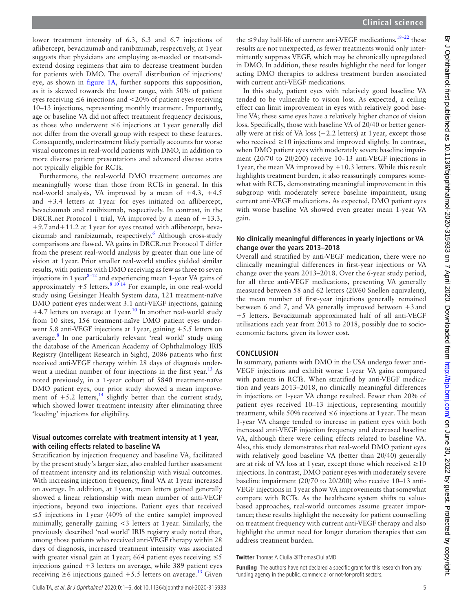lower treatment intensity of 6.3, 6.3 and 6.7 injections of aflibercept, bevacizumab and ranibizumab, respectively, at 1year suggests that physicians are employing as-needed or treat-andextend dosing regimens that aim to decrease treatment burden for patients with DMO. The overall distribution of injections/ eye, as shown in [figure](#page-2-0) 1A, further supports this supposition, as it is skewed towards the lower range, with 50% of patient eyes receiving  $\leq 6$  injections and  $\lt$  20% of patient eyes receiving 10–13 injections, representing monthly treatment. Importantly, age or baseline VA did not affect treatment frequency decisions, as those who underwent ≤6 injections at 1year generally did not differ from the overall group with respect to these features. Consequently, undertreatment likely partially accounts for worse visual outcomes in real-world patients with DMO, in addition to more diverse patient presentations and advanced disease states not typically eligible for RCTs.

Furthermore, the real-world DMO treatment outcomes are meaningfully worse than those from RCTs in general. In this real-world analysis, VA improved by a mean of  $+4.3, +4.5$ and +3.4 letters at 1year for eyes initiated on aflibercept, bevacizumab and ranibizumab, respectively. In contrast, in the DRCR.net Protocol T trial, VA improved by a mean of  $+13.3$ , +9.7and+11.2 at 1year for eyes treated with aflibercept, beva-cizumab and ranibizumab, respectively.<sup>[6](#page-5-9)</sup> Although cross-study comparisons are flawed, VA gains in DRCR.net Protocol T differ from the present real-world analysis by greater than one line of vision at 1year. Prior smaller real-world studies yielded similar results, with patients with DMO receiving as few as three to seven injections in  $1$  year $^{8-12}$  and experiencing mean 1-year VA gains of approximately  $+5$  letters.<sup>8 10 14</sup> For example, in one real-world study using Geisinger Health System data, 121 treatment-naïve DMO patient eyes underwent 3.1 anti-VEGF injections, gaining  $+4.7$  letters on average at 1 year.<sup>10</sup> In another real-world study from 10 sites, 156 treatment-naïve DMO patient eyes underwent 5.8 anti-VEGF injections at 1year, gaining +5.5 letters on average.<sup>[8](#page-5-6)</sup> In one particularly relevant 'real world' study using the database of the American Academy of Ophthalmology IRIS Registry (Intelligent Research in Sight), 2086 patients who first received anti-VEGF therapy within 28 days of diagnosis underwent a median number of four injections in the first year.<sup>13</sup> As noted previously, in a 1-year cohort of 5840 treatment-naïve DMO patient eyes, our prior study showed a mean improvement of  $+5.2$  letters,<sup>14</sup> slightly better than the current study, which showed lower treatment intensity after eliminating three 'loading' injections for eligibility.

#### **Visual outcomes correlate with treatment intensity at 1 year, with ceiling effects related to baseline VA**

Stratification by injection frequency and baseline VA, facilitated by the present study's larger size, also enabled further assessment of treatment intensity and its relationship with visual outcomes. With increasing injection frequency, final VA at 1year increased on average. In addition, at 1year, mean letters gained generally showed a linear relationship with mean number of anti-VEGF injections, beyond two injections. Patient eyes that received ≤5 injections in 1year (40% of the entire sample) improved minimally, generally gaining <3 letters at 1year. Similarly, the previously described 'real world' IRIS registry study noted that, among those patients who received anti-VEGF therapy within 28 days of diagnosis, increased treatment intensity was associated with greater visual gain at 1 year; 664 patient eyes receiving  $\leq$ 5 injections gained +3 letters on average, while 389 patient eyes receiving  $\geq 6$  injections gained +5.5 letters on average.<sup>13</sup> Given

the  $\leq$ 9 day half-life of current anti-VEGF medications,  $18-22$  these results are not unexpected, as fewer treatments would only intermittently suppress VEGF, which may be chronically upregulated in DMO. In addition, these results highlight the need for longer acting DMO therapies to address treatment burden associated with current anti-VEGF medications.

In this study, patient eyes with relatively good baseline VA tended to be vulnerable to vision loss. As expected, a ceiling effect can limit improvement in eyes with relatively good baseline VA; these same eyes have a relatively higher chance of vision loss. Specifically, those with baseline VA of 20/40 or better generally were at risk of VA loss (−2.2 letters) at 1year, except those who received  $\geq$  10 injections and improved slightly. In contrast, when DMO patient eyes with moderately severe baseline impairment (20/70 to 20/200) receive 10–13 anti-VEGF injections in 1year, the mean VA improved by +10.3 letters. While this result highlights treatment burden, it also reassuringly compares somewhat with RCTs, demonstrating meaningful improvement in this subgroup with moderately severe baseline impairment, using current anti-VEGF medications. As expected, DMO patient eyes with worse baseline VA showed even greater mean 1-year VA gain.

#### **No clinically meaningful differences in yearly injections or VA change over the years 2013–2018**

Overall and stratified by anti-VEGF medication, there were no clinically meaningful differences in first-year injections or VA change over the years 2013–2018. Over the 6-year study period, for all three anti-VEGF medications, presenting VA generally measured between 58 and 62 letters (20/60 Snellen equivalent), the mean number of first-year injections generally remained between 6 and 7, and VA generally improved between  $+3$  and +5 letters. Bevacizumab approximated half of all anti-VEGF utilisations each year from 2013 to 2018, possibly due to socioeconomic factors, given its lower cost.

#### **Conclusion**

In summary, patients with DMO in the USA undergo fewer anti-VEGF injections and exhibit worse 1-year VA gains compared with patients in RCTs. When stratified by anti-VEGF medication and years 2013–2018, no clinically meaningful differences in injections or 1-year VA change resulted. Fewer than 20% of patient eyes received 10–13 injections, representing monthly treatment, while 50% received  $\leq 6$  injections at 1 year. The mean 1-year VA change tended to increase in patient eyes with both increased anti-VEGF injection frequency and decreased baseline VA, although there were ceiling effects related to baseline VA. Also, this study demonstrates that real-world DMO patient eyes with relatively good baseline VA (better than 20/40) generally are at risk of VA loss at 1 year, except those which received  $\geq 10$ injections. In contrast, DMO patient eyes with moderately severe baseline impairment (20/70 to 20/200) who receive 10–13 anti-VEGF injections in 1year show VA improvements that somewhat compare with RCTs. As the healthcare system shifts to valuebased approaches, real-world outcomes assume greater importance; these results highlight the necessity for patient counselling on treatment frequency with current anti-VEGF therapy and also highlight the unmet need for longer duration therapies that can address treatment burden.

**Twitter** Thomas A Ciulla [@ThomasCiullaMD](https://twitter.com/ThomasCiullaMD)

**Funding** The authors have not declared a specific grant for this research from any funding agency in the public, commercial or not-for-profit sectors.